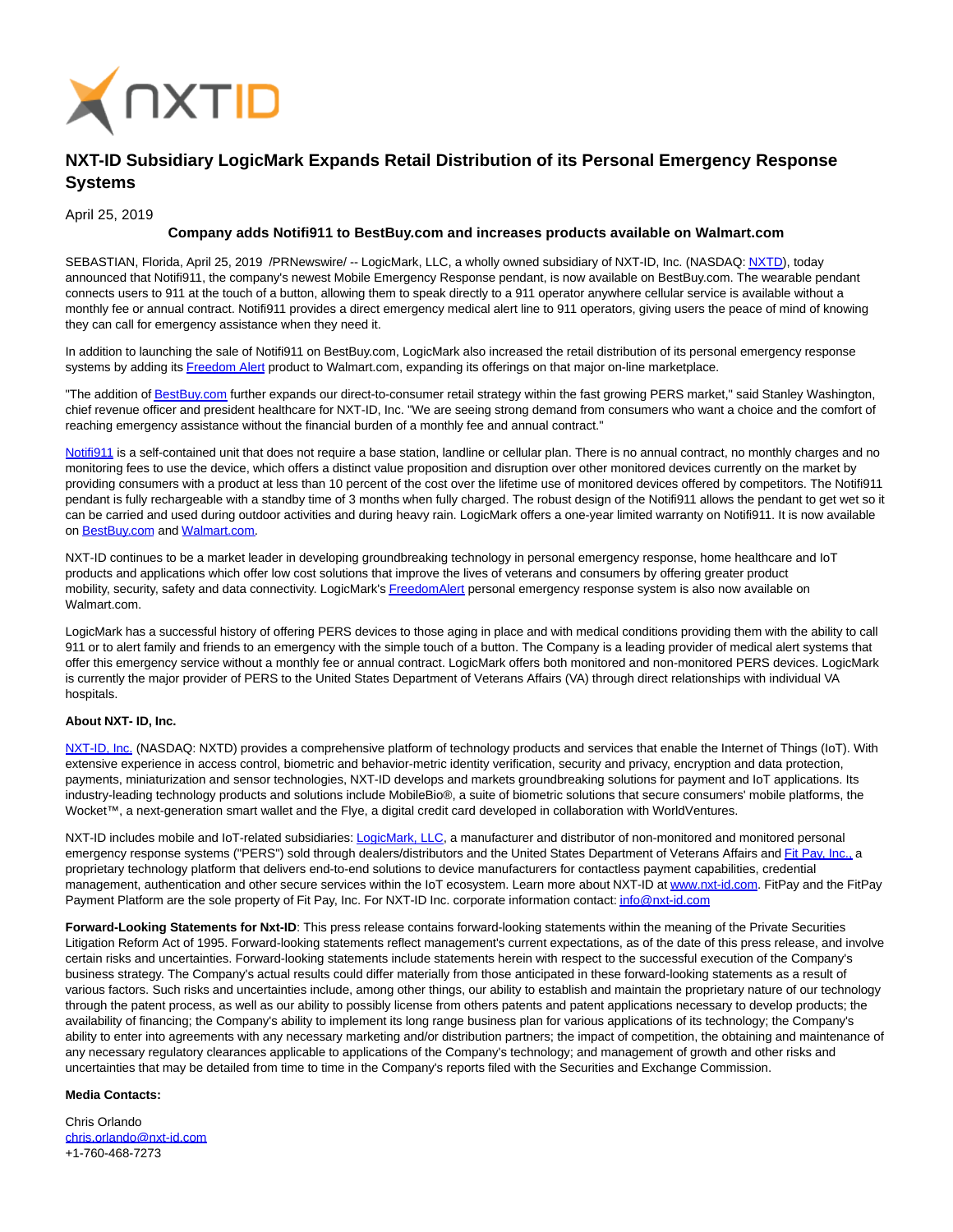

## **NXT-ID Subsidiary LogicMark Expands Retail Distribution of its Personal Emergency Response Systems**

April 25, 2019

## **Company adds Notifi911 to BestBuy.com and increases products available on Walmart.com**

SEBASTIAN, Florida, April 25, 2019 /PRNewswire/ -- LogicMark, LLC, a wholly owned subsidiary of NXT-ID, Inc. (NASDAQ[: NXTD\),](https://finance.yahoo.com/q?s=nxtd) today announced that Notifi911, the company's newest Mobile Emergency Response pendant, is now available on BestBuy.com. The wearable pendant connects users to 911 at the touch of a button, allowing them to speak directly to a 911 operator anywhere cellular service is available without a monthly fee or annual contract. Notifi911 provides a direct emergency medical alert line to 911 operators, giving users the peace of mind of knowing they can call for emergency assistance when they need it.

In addition to launching the sale of Notifi911 on BestBuy.com, LogicMark also increased the retail distribution of its personal emergency response systems by adding its [Freedom Alert p](https://www.walmart.com/ip/LogicMark-Freedom-Alert-Emergency-Alert-System-1ct/15935639)roduct to Walmart.com, expanding its offerings on that major on-line marketplace.

"The addition o[f BestBuy.com f](http://bestbuy.com/)urther expands our direct-to-consumer retail strategy within the fast growing PERS market," said Stanley Washington, chief revenue officer and president healthcare for NXT-ID, Inc. "We are seeing strong demand from consumers who want a choice and the comfort of reaching emergency assistance without the financial burden of a monthly fee and annual contract."

[Notifi911 i](https://www.walmart.com/ip/Notifi911-Mobile-Medical-Alert-Pendant/190036398)s a self-contained unit that does not require a base station, landline or cellular plan. There is no annual contract, no monthly charges and no monitoring fees to use the device, which offers a distinct value proposition and disruption over other monitored devices currently on the market by providing consumers with a product at less than 10 percent of the cost over the lifetime use of monitored devices offered by competitors. The Notifi911 pendant is fully rechargeable with a standby time of 3 months when fully charged. The robust design of the Notifi911 allows the pendant to get wet so it can be carried and used during outdoor activities and during heavy rain. LogicMark offers a one-year limited warranty on Notifi911. It is now available on [BestBuy.com a](https://www.bestbuy.com/site/searchpage.jsp?st=Notifi911&_dyncharset=UTF-8&id=pcat17071&type=page&sc=Global&cp=1&nrp=&sp=&qp=&list=n&af=true&iht=y&usc=All+Categories&ks=960&keys=keys)nd [Walmart.com.](https://www.walmart.com/search/?cat_id=0&query=notifi911) 

NXT-ID continues to be a market leader in developing groundbreaking technology in personal emergency response, home healthcare and IoT products and applications which offer low cost solutions that improve the lives of veterans and consumers by offering greater product mobility, security, safety and data connectivity. LogicMark'[s FreedomAlert p](https://www.walmart.com/ip/LogicMark-Freedom-Alert-Emergency-Alert-System-1ct/15935639)ersonal emergency response system is also now available on Walmart.com.

LogicMark has a successful history of offering PERS devices to those aging in place and with medical conditions providing them with the ability to call 911 or to alert family and friends to an emergency with the simple touch of a button. The Company is a leading provider of medical alert systems that offer this emergency service without a monthly fee or annual contract. LogicMark offers both monitored and non-monitored PERS devices. LogicMark is currently the major provider of PERS to the United States Department of Veterans Affairs (VA) through direct relationships with individual VA hospitals.

## **About NXT- ID, Inc.**

[NXT-ID, Inc. \(](http://www.nxt-id.com/)NASDAQ: NXTD) provides a comprehensive platform of technology products and services that enable the Internet of Things (IoT). With extensive experience in access control, biometric and behavior-metric identity verification, security and privacy, encryption and data protection, payments, miniaturization and sensor technologies, NXT-ID develops and markets groundbreaking solutions for payment and IoT applications. Its industry-leading technology products and solutions include MobileBio®, a suite of biometric solutions that secure consumers' mobile platforms, the Wocket™, a next-generation smart wallet and the Flye, a digital credit card developed in collaboration with WorldVentures.

NXT-ID includes mobile and IoT-related subsidiaries[: LogicMark, LLC,](https://www.logicmark.com/) a manufacturer and distributor of non-monitored and monitored personal emergency response systems ("PERS") sold through dealers/distributors and the United States Department of Veterans Affairs an[d Fit Pay, Inc., a](http://www.fit-pay.com/) proprietary technology platform that delivers end-to-end solutions to device manufacturers for contactless payment capabilities, credential management, authentication and other secure services within the IoT ecosystem. Learn more about NXT-ID at [www.nxt-id.com.](http://www.nxt-id.com/) FitPay and the FitPay Payment Platform are the sole property of Fit Pay, Inc. For NXT-ID Inc. corporate information contact[: info@nxt-id.com](mailto:info@nxt-id.com)

**Forward-Looking Statements for Nxt-ID**: This press release contains forward-looking statements within the meaning of the Private Securities Litigation Reform Act of 1995. Forward-looking statements reflect management's current expectations, as of the date of this press release, and involve certain risks and uncertainties. Forward-looking statements include statements herein with respect to the successful execution of the Company's business strategy. The Company's actual results could differ materially from those anticipated in these forward-looking statements as a result of various factors. Such risks and uncertainties include, among other things, our ability to establish and maintain the proprietary nature of our technology through the patent process, as well as our ability to possibly license from others patents and patent applications necessary to develop products; the availability of financing; the Company's ability to implement its long range business plan for various applications of its technology; the Company's ability to enter into agreements with any necessary marketing and/or distribution partners; the impact of competition, the obtaining and maintenance of any necessary regulatory clearances applicable to applications of the Company's technology; and management of growth and other risks and uncertainties that may be detailed from time to time in the Company's reports filed with the Securities and Exchange Commission.

## **Media Contacts:**

Chris Orlando [chris.orlando@nxt-id.com](mailto:chris.orlando@nxt-id.com) +1-760-468-7273